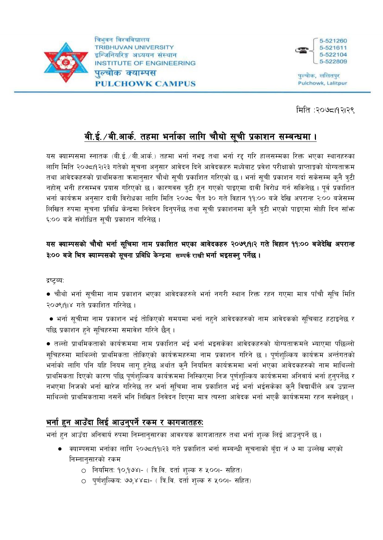



पुल्बोक, ललितपुर **Pulchowk, Lalitpur** 

मिति :२०७८19२1२९

# बी.ई.⁄बी.आर्क. तहमा भर्नाका लागि चौथो सूची प्रकाशन सम्बन्धमा ।

यस क्याम्पसमा स्नातक (बी.ई. ⁄ बी.आर्क.) तहमा भर्ना नभइ तथा भर्ना रद्द गरि हालसम्मका रिक्त भएका स्थानहरुका लागि मिति २०७८।१२।२३ गतेको सुचना अनुसार आवेदन दिने आवेदकहरु मध्येबाट प्रवेश परीक्षाको प्राप्ताङ्को योग्यताक्रम तथा आवेदकहरुको प्राथमिकता क्रमानुसार चौथो सुची प्रकाशित गरिएको छ। भर्ना सुची प्रकाशन गर्दा सकेसम्म कुनै त्रुटी नहोस् भनी हरसम्भव प्रयास गरिएको छ। कारणवस त्रुटी हुन गएको पाइएमा दावी विरोध गर्न सकिनेछ। पूर्व प्रकाशित भर्ना कार्यक्रम अनुसार दावी विरोधका लागि मिति २०७८ चैत ३० गते विहान ११:०० बजे देखि अपरान्ह २:०० बजेसम्म लिखित रुपमा सूचना प्रविधि केन्द्रमा निवेदन दिनुपर्नेछ तथा सूची प्रकाशनमा कुनै त्रुटी भएको पाइएमा सोही दिन साँफ ६:०० बजे संशोधित सुची प्रकाशन गरिनेछ ।

## यस क्याम्पसको चौथो भर्ना सुचिमा नाम प्रकाशित भएका आवेदकहरु २०७९।१।२ गते बिहान ११:०० बजेदेखि अपरान्ह ३:०० बजे भित्र क्याम्पसको सूचना प्रबिधि केन्द्रमा सम्पर्क राखी भर्ना भइसक्नु पर्नेछ।

द्रष्ट्ब्य:

● चौथो भर्ना सुचीमा नाम प्रकाशन भएका आवेदकहरुले भर्ना नगरी स्थान रिक्त रहन गएमा मात्र पाँचौ सुचि मिति २०७९।१।४ गते प्रकाशित गरिनेछ ।

• भर्ना सुचीमा नाम प्रकाशन भई तोकिएको समयमा भर्ना नहुने आवेदकहरुको नाम आवेदकको सूचिबाट हटाइनेछ र पछि प्रकाशन हने सूचिहरुमा समावेश गरिने छैन् ।

• तल्लो प्राथमिकताको कार्यक्रममा नाम प्रकाशित भई भर्ना भइसकेका आवेदकहरुको योग्यताक्रमले भ्याएमा पछिल्लो सुचिहरुमा माथिल्लो प्राथमिकता तोकिएको कार्यक्रमहरुमा नाम प्रकाशन गरिने छ । पुर्णशुल्किय कार्यक्रम अर्न्तगतको भर्नाको लागि पनि यहि नियम लागू हुनेछ अर्थात कुनै नियमित कार्यक्रममा भर्ना भएका आवेदकहरुको नाम माथिल्लो प्राथमिकता दिएको कारण पछि पुर्णशुल्किय कार्यक्रममा निस्किएमा निज पुर्णशुल्किय कार्यक्रममा अनिवार्य भर्ना हुनुपर्नेछ र नभएमा निजको भर्ना खारेज गरिनेछ तर भर्ना सूचिमा नाम प्रकाशित भई भर्ना भईसकेका कुनै विद्यार्थीले अव उप्रान्त माथिल्लो प्राथमिकतामा नसर्ने भनि लिखित निवेदन दिएमा मात्र त्यस्ता आवेदक भर्ना भएकै कार्यक्रममा रहन सक्नेछन् ।

## भर्ना हुन आउँदा लिई आउनुपर्ने रकम र कागजातहरु:

भर्ना हुन आउँदा अनिवार्य रुपमा निम्नानुसारका आवश्यक कागजातहरु तथा भर्ना शुल्क लिई आउनुपर्ने छ ।

- क्याम्पसमा भर्नाका लागि २०७८।११।२३ गते प्रकाशित भर्ना सम्बन्धी सूचनाको बूँदा नं ७ मा उल्लेख भएको निम्नानुसारको रकम
	- 0 नियमित: १०,१७४।- ( त्रि.वि. दर्ता शुल्क रु ५००।- सहित)
	- 0 पर्णशल्किय: ७७,४४८।- ( त्रि.वि. दर्ता शल्क रु ५००।- सहित)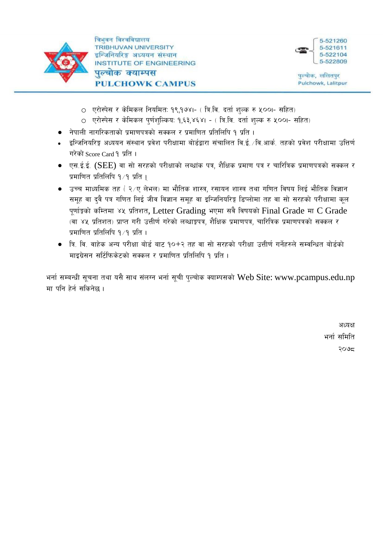



- 0 एरोस्पेस र केमिकल नियमित: १९,१७४।- ( त्रि.वि. दर्ता शुल्क रु ५००।- सहित)
- एरोस्पेस र केमिकल पुर्णशुल्किय: १,६३,४६४। ( त्रि.वि. दर्ता शुल्क रु ५००।- सहित)
- नेपाली नागरिकताको प्रमाणपत्रको सक्कल र प्रमाणित प्रतिलिपि १ प्रति ।
- इन्जिनियरिङ्ग अध्ययन संस्थान प्रवेश परीक्षामा बोर्डद्वारा संचालित वि.ई. ∕वि.आर्क. तहको प्रवेश परीक्षामा उत्तिर्ण गरेको Score Card १ प्रति ।
- एस.ई.ई. (SEE) वा सो सरहको परीक्षाको लब्धांक पत्र. शैक्षिक प्रमाण पत्र र चारित्रिक प्रमाणपत्रको सक्कल र प्रमाणित प्रतिलिपि १/१ प्रति ।
- उच्च माध्यमिक तह ( २⁄ए लेभल) मा भौतिक शास्त्र, रसायन शास्त्र तथा गणित विषय लिई भौतिक विज्ञान समूह वा दुवै पत्र गणित लिई जीव विज्ञान समूह वा इन्जिनियरिङ्ग डिप्लोमा तह वा सो सरहको परीक्षामा कुल पूर्णाङ्को कम्तिमा ४५ प्रतिशत, Letter Grading भएमा सबै विषयको Final Grade मा C Grade (वा ४५ प्रतिशत) प्राप्त गरी उत्तीर्ण गरेको लब्धाङ्रपत्र, शैक्षिक प्रमाणपत्र, चारित्रिक प्रमाणपत्रको सक्कल र प्रमाणित प्रतिलिपि १∕१ प्रति ।
- त्रि. वि. वाहेक अन्य परीक्षा बोर्ड बाट १०+२ तह वा सो सरहको परीक्षा उत्तीर्ण गर्नेहरुले सम्वन्धित बोर्डको माइग्रेसन सर्टिफिकेटको सक्कल र प्रमाणित प्रतिलिपि १ प्रति ।

भर्ना सम्बन्धी सूचना तथा यसै साथ संलग्न भर्ना सूची पुल्चोक क्याम्पसको Web Site: www.pcampus.edu.np मा पनि हेर्न सकिनेछ ।

> अध्यक्ष भर्ना समिति २०७८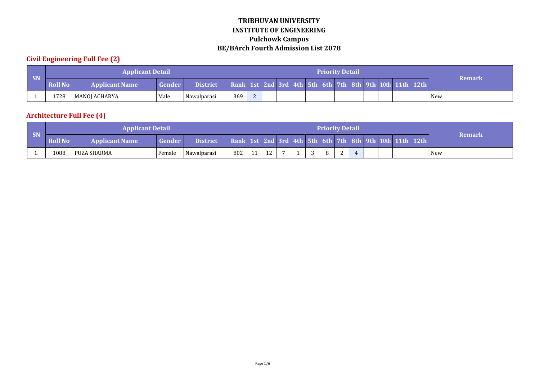## **Civil Engineering Full Fee (2)**

|           |                | <b>Applicant Detail</b> |               |                 |                                                         |  |  |  | <b>Priority Detail</b> |  |  |               |
|-----------|----------------|-------------------------|---------------|-----------------|---------------------------------------------------------|--|--|--|------------------------|--|--|---------------|
| <b>SN</b> | <b>Roll No</b> | <b>Applicant Name</b>   | <b>Gender</b> | <b>District</b> | Rank 1st 2nd 3rd 4th 5th 6th 7th 8th 9th 10th 11th 12th |  |  |  |                        |  |  | <b>Remark</b> |
|           | 1728           | MANOJ ACHARYA           | Male          | Nawalparasi     | 369                                                     |  |  |  |                        |  |  | New           |

## **Architecture Full Fee (4)**

|     |                | <b>Applicant Detail</b> |          |                 |                                                         |    |              |  | <b>Priority Detail</b> |            |  |  |        |
|-----|----------------|-------------------------|----------|-----------------|---------------------------------------------------------|----|--------------|--|------------------------|------------|--|--|--------|
| SN  | <b>Roll No</b> | <b>Applicant Name</b>   | Gender / | <b>District</b> | Rank 1st 2nd 3rd 4th 5th 6th 7th 8th 9th 10th 11th 12th |    |              |  |                        |            |  |  | Remark |
| . . | 1088           | l PUZA SHARMA           | Female   | Nawalparasi     | 802                                                     | 11 | $\sim$<br>ΤL |  | o                      | $\sqrt{2}$ |  |  | New    |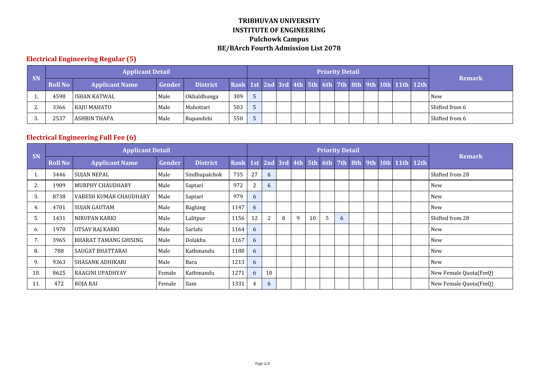## **Electrical Engineering Regular (5)**

|          |         | <b>Applicant Detail</b> |        |                 |     |  |  |  | <b>Priority Detail</b> |  |                                                         |                |
|----------|---------|-------------------------|--------|-----------------|-----|--|--|--|------------------------|--|---------------------------------------------------------|----------------|
| SN       | Roll No | <b>Applicant Name</b>   | Gender | <b>District</b> |     |  |  |  |                        |  | Rank 1st 2nd 3rd 4th 5th 6th 7th 8th 9th 10th 11th 12th | <b>Remark</b>  |
|          | 4598    | l ISHAN KATWAL          | Male   | Okhaldhunga     | 309 |  |  |  |                        |  |                                                         | <b>New</b>     |
| <u>.</u> | 3366    | RAJU MAHATO             | Male   | Mahottari       | 503 |  |  |  |                        |  |                                                         | Shifted from 6 |
|          | 2537    | l ASHBIN THAPA          | Male   | Rupandehi       | 550 |  |  |  |                        |  |                                                         | Shifted from 6 |

## **Electrical Engineering Full Fee (6)**

|     |                | <b>Applicant Detail</b> |        |                 |      |    |    |                     |   |    |                | <b>Priority Detail</b> |  |  |                                |                       |
|-----|----------------|-------------------------|--------|-----------------|------|----|----|---------------------|---|----|----------------|------------------------|--|--|--------------------------------|-----------------------|
| SN  | <b>Roll No</b> | <b>Applicant Name</b>   | Gender | <b>District</b> | Rank |    |    | 1st 2nd 3rd 4th 5th |   |    |                |                        |  |  | 6th 7th 8th 9th 10th 11th 12th | <b>Remark</b>         |
|     | 3446           | SUJAN NEPAL             | Male   | Sindhupalchok   | 735  | 27 | 6  |                     |   |    |                |                        |  |  |                                | Shifted from 28       |
| 2.  | 1909           | MURPHY CHAUDHARY        | Male   | Saptari         | 972  | 2  | 6  |                     |   |    |                |                        |  |  |                                | <b>New</b>            |
| 3.  | 8738           | VABESH KUMAR CHAUDHARY  | Male   | Saptari         | 979  | 6  |    |                     |   |    |                |                        |  |  |                                | New                   |
| 4.  | 4701           | SUJAN GAUTAM            | Male   | Baglung         | 1147 | 6  |    |                     |   |    |                |                        |  |  |                                | New                   |
| 5.  | 1431           | NIRUPAN KARKI           | Male   | Lalitpur        | 1156 | 12 | 2  | 8                   | 9 | 10 | $\overline{5}$ | 6                      |  |  |                                | Shifted from 28       |
| 6.  | 1970           | UTSAV RAJ KARKI         | Male   | Sarlahi         | 1164 | 6  |    |                     |   |    |                |                        |  |  |                                | New                   |
| 7.  | 3965           | BHARAT TAMANG GHISING   | Male   | Dolakha         | 1167 | 6  |    |                     |   |    |                |                        |  |  |                                | New                   |
| 8.  | 788            | <b>SAUGAT BHATTARAI</b> | Male   | Kathmandu       | 1180 | 6  |    |                     |   |    |                |                        |  |  |                                | New                   |
| 9.  | 9363           | SHASANK ADHIKARI        | Male   | Bara            | 1213 | 6  |    |                     |   |    |                |                        |  |  |                                | New                   |
| 10. | 8625           | RAAGINI UPADHYAY        | Female | Kathmandu       | 1271 | 6  | 10 |                     |   |    |                |                        |  |  |                                | New Female Quota(FmQ) |
| 11. | 472            | ROJA RAI                | Female | Ilam            | 1331 | 4  | 6  |                     |   |    |                |                        |  |  |                                | New Female Quota(FmQ) |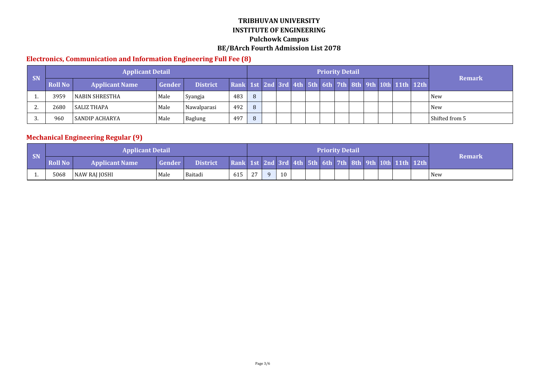#### **Electronics, Communication and Information Engineering Full Fee (8)**

|           |                | Applicant Detail      |        |                 |     |          |  |  | <b>Priority Detail</b> |  |                                                         |                |
|-----------|----------------|-----------------------|--------|-----------------|-----|----------|--|--|------------------------|--|---------------------------------------------------------|----------------|
| <b>SN</b> | <b>Roll No</b> | <b>Applicant Name</b> | Gender | <b>District</b> |     |          |  |  |                        |  | Rank 1st 2nd 3rd 4th 5th 6th 7th 8th 9th 10th 11th 12th | <b>Remark</b>  |
|           | 3959           | l NABIN SHRESTHA      | Male   | Syangja         | 483 | $\Omega$ |  |  |                        |  |                                                         | <b>New</b>     |
|           | 2680           | l SALIZ THAPA         | Male   | Nawalparasi     | 492 | $\Omega$ |  |  |                        |  |                                                         | <b>New</b>     |
|           | 960            | l SANDIP ACHARYA      | Male   | Baglung         | 497 |          |  |  |                        |  |                                                         | Shifted from 5 |

## **Mechanical Engineering Regular (9)**

| SN  |                | <b>Applicant Detail</b> |               |                 |                                                         |        |          |    |  | <b>Priority Detail</b> |  |  |        |
|-----|----------------|-------------------------|---------------|-----------------|---------------------------------------------------------|--------|----------|----|--|------------------------|--|--|--------|
|     | <b>Roll No</b> | <b>Applicant Name</b>   | <b>Gender</b> | <b>District</b> | Rank 1st 2nd 3rd 4th 5th 6th 7th 8th 9th 10th 11th 12th |        |          |    |  |                        |  |  | Remark |
| . . | 5068           | NAW RAJ JOSHI           | Male          | Baitadi         | 615                                                     | $\sim$ | $\Omega$ | 10 |  |                        |  |  | New    |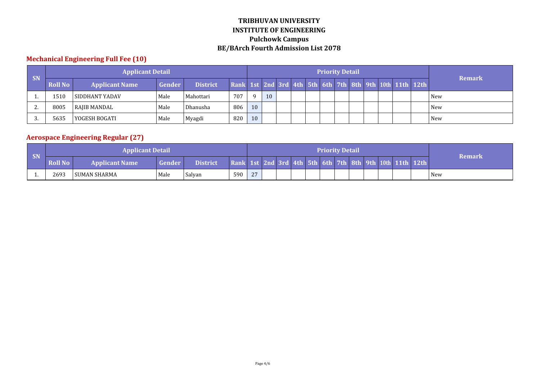## **Mechanical Engineering Full Fee (10)**

|           |                | <b>Applicant Detail</b> |        |                 |                                                         |          |    |  | <b>Priority Detail</b> |  |  |  |               |
|-----------|----------------|-------------------------|--------|-----------------|---------------------------------------------------------|----------|----|--|------------------------|--|--|--|---------------|
| <b>SN</b> | <b>Roll No</b> | <b>Applicant Name</b>   | Gender | <b>District</b> | Rank 1st 2nd 3rd 4th 5th 6th 7th 8th 9th 10th 11th 12th |          |    |  |                        |  |  |  | <b>Remark</b> |
|           | 1510           | l SIDDHANT YADAV        | Male   | Mahottari       | 707                                                     | $\Omega$ | 10 |  |                        |  |  |  | New           |
| <u>.</u>  | 8005           | RAJIB MANDAL            | Male   | Dhanusha        | 806                                                     | 10       |    |  |                        |  |  |  | New           |
|           | 5635           | YOGESH BOGATI           | Male   | Myagdi          | 820                                                     | 10       |    |  |                        |  |  |  | <b>New</b>    |

## **Aerospace Engineering Regular (27)**

| SN  |                | <b>Applicant Detail</b> |               |                 |                                                         |          |  |  | <b>Priority Detail</b> |  |  |        |
|-----|----------------|-------------------------|---------------|-----------------|---------------------------------------------------------|----------|--|--|------------------------|--|--|--------|
|     | <b>Roll No</b> | <b>Applicant Name</b>   | <b>Gender</b> | <b>District</b> | Rank 1st 2nd 3rd 4th 5th 6th 7th 8th 9th 10th 11th 12th |          |  |  |                        |  |  | Remark |
| . . | 2693           | l SUMAN SHARMA          | Male          | Salyan          | 590                                                     | $\gamma$ |  |  |                        |  |  | New    |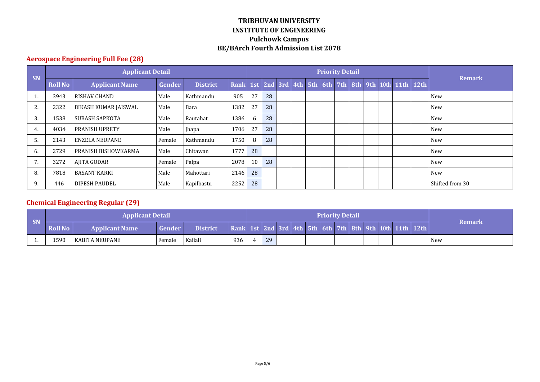## **Aerospace Engineering Full Fee (28)**

|    |                | <b>Applicant Detail</b> |        |                 |                                                         |    |    |  | <b>Priority Detail</b> |  |  |  |                 |
|----|----------------|-------------------------|--------|-----------------|---------------------------------------------------------|----|----|--|------------------------|--|--|--|-----------------|
| SN | <b>Roll No</b> | <b>Applicant Name</b>   | Gender | <b>District</b> | Rank 1st 2nd 3rd 4th 5th 6th 7th 8th 9th 10th 11th 12th |    |    |  |                        |  |  |  | <b>Remark</b>   |
|    | 3943           | l RISHAV CHAND          | Male   | Kathmandu       | 905                                                     | 27 | 28 |  |                        |  |  |  | New             |
| Ζ. | 2322           | BIKASH KUMAR JAISWAL    | Male   | Bara            | 1382                                                    | 27 | 28 |  |                        |  |  |  | New             |
| 3. | 1538           | SUBASH SAPKOTA          | Male   | Rautahat        | 1386                                                    | 6  | 28 |  |                        |  |  |  | New             |
| 4. | 4034           | <b>PRANISH UPRETY</b>   | Male   | Jhapa           | 1706                                                    | 27 | 28 |  |                        |  |  |  | New             |
| 5. | 2143           | <b>ENZELA NEUPANE</b>   | Female | Kathmandu       | 1750                                                    | 8  | 28 |  |                        |  |  |  | <b>New</b>      |
| 6. | 2729           | PRANISH BISHOWKARMA     | Male   | Chitawan        | 1777                                                    | 28 |    |  |                        |  |  |  | <b>New</b>      |
|    | 3272           | AJITA GODAR             | Female | Palpa           | 2078                                                    | 10 | 28 |  |                        |  |  |  | New             |
| 8. | 7818           | <b>BASANT KARKI</b>     | Male   | Mahottari       | 2146                                                    | 28 |    |  |                        |  |  |  | New             |
| 9. | 446            | <b>DIPESH PAUDEL</b>    | Male   | Kapilbastu      | 2252                                                    | 28 |    |  |                        |  |  |  | Shifted from 30 |

## **Chemical Engineering Regular (29)**

|           |                | <b>Applicant Detail</b> |        |                 |                                                         |    |  |  | <b>Priority Detail</b> |  |  |               |
|-----------|----------------|-------------------------|--------|-----------------|---------------------------------------------------------|----|--|--|------------------------|--|--|---------------|
| <b>SN</b> | <b>Roll No</b> | <b>Applicant Name</b>   | Gender | <b>District</b> | Rank 1st 2nd 3rd 4th 5th 6th 7th 8th 9th 10th 11th 12th |    |  |  |                        |  |  | <b>Remark</b> |
|           | 1590           | l KABITA NEUPANE        | Female | Kailali         | 936                                                     | 29 |  |  |                        |  |  | <b>New</b>    |